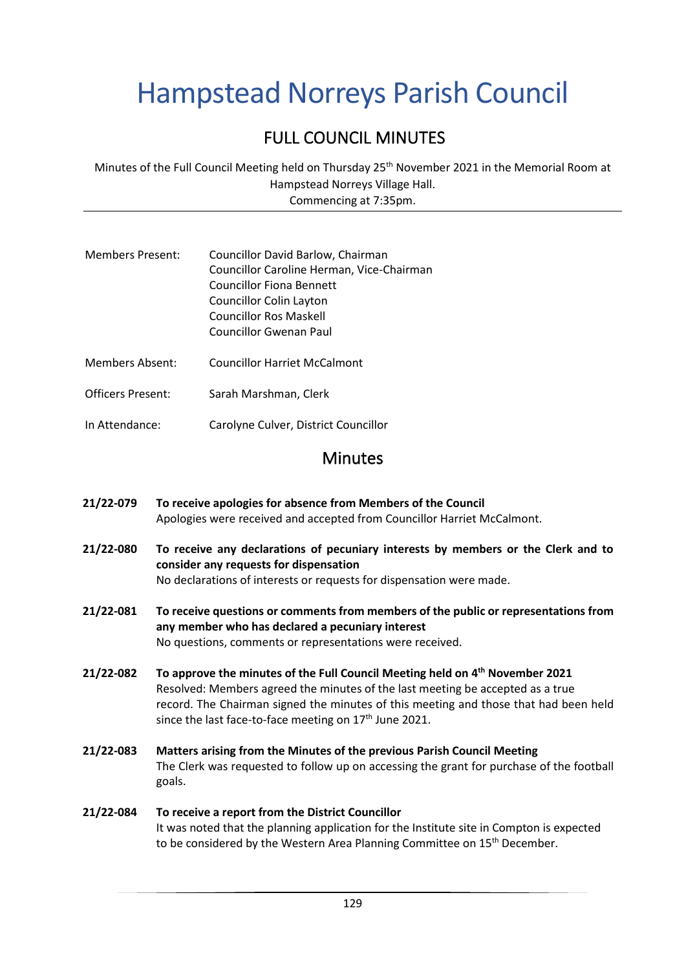# Hampstead Norreys Parish Council

## FULL COUNCIL MINUTES

Minutes of the Full Council Meeting held on Thursday 25<sup>th</sup> November 2021 in the Memorial Room at Hampstead Norreys Village Hall. Commencing at 7:35pm.

- Members Present: Councillor David Barlow, Chairman Councillor Caroline Herman, Vice-Chairman Councillor Fiona Bennett Councillor Colin Layton Councillor Ros Maskell Councillor Gwenan Paul
- Members Absent: Councillor Harriet McCalmont
- Officers Present: Sarah Marshman, Clerk
- In Attendance: Carolyne Culver, District Councillor

## Minutes

- **21/22-079 To receive apologies for absence from Members of the Council** Apologies were received and accepted from Councillor Harriet McCalmont.
- **21/22-080 To receive any declarations of pecuniary interests by members or the Clerk and to consider any requests for dispensation** No declarations of interests or requests for dispensation were made.
- **21/22-081 To receive questions or comments from members of the public or representations from any member who has declared a pecuniary interest** No questions, comments or representations were received.
- **21/22-082 To approve the minutes of the Full Council Meeting held on 4 th November 2021** Resolved: Members agreed the minutes of the last meeting be accepted as a true record. The Chairman signed the minutes of this meeting and those that had been held since the last face-to-face meeting on  $17<sup>th</sup>$  June 2021.
- **21/22-083 Matters arising from the Minutes of the previous Parish Council Meeting** The Clerk was requested to follow up on accessing the grant for purchase of the football goals.

**21/22-084 To receive a report from the District Councillor** It was noted that the planning application for the Institute site in Compton is expected to be considered by the Western Area Planning Committee on 15<sup>th</sup> December.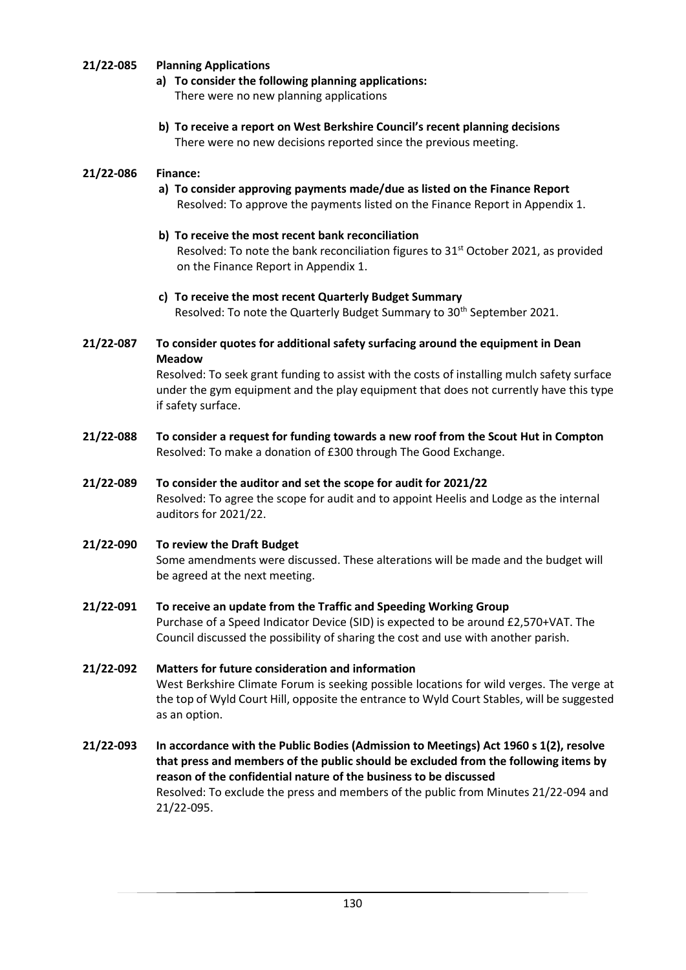#### **21/22-085 Planning Applications**

- **a) To consider the following planning applications:** There were no new planning applications
- **b) To receive a report on West Berkshire Council's recent planning decisions** There were no new decisions reported since the previous meeting.

#### **21/22-086 Finance:**

- **a) To consider approving payments made/due as listed on the Finance Report** Resolved: To approve the payments listed on the Finance Report in Appendix 1.
- **b) To receive the most recent bank reconciliation** Resolved: To note the bank reconciliation figures to  $31<sup>st</sup>$  October 2021, as provided on the Finance Report in Appendix 1.
- **c) To receive the most recent Quarterly Budget Summary** Resolved: To note the Quarterly Budget Summary to 30<sup>th</sup> September 2021.
- **21/22-087 To consider quotes for additional safety surfacing around the equipment in Dean Meadow**

Resolved: To seek grant funding to assist with the costs of installing mulch safety surface under the gym equipment and the play equipment that does not currently have this type if safety surface.

- **21/22-088 To consider a request for funding towards a new roof from the Scout Hut in Compton** Resolved: To make a donation of £300 through The Good Exchange.
- **21/22-089 To consider the auditor and set the scope for audit for 2021/22** Resolved: To agree the scope for audit and to appoint Heelis and Lodge as the internal auditors for 2021/22.
- **21/22-090 To review the Draft Budget** Some amendments were discussed. These alterations will be made and the budget will be agreed at the next meeting.
- **21/22-091 To receive an update from the Traffic and Speeding Working Group** Purchase of a Speed Indicator Device (SID) is expected to be around £2,570+VAT. The Council discussed the possibility of sharing the cost and use with another parish.
- **21/22-092 Matters for future consideration and information**  West Berkshire Climate Forum is seeking possible locations for wild verges. The verge at the top of Wyld Court Hill, opposite the entrance to Wyld Court Stables, will be suggested as an option.
- **21/22-093 In accordance with the Public Bodies (Admission to Meetings) Act 1960 s 1(2), resolve that press and members of the public should be excluded from the following items by reason of the confidential nature of the business to be discussed** Resolved: To exclude the press and members of the public from Minutes 21/22-094 and 21/22-095.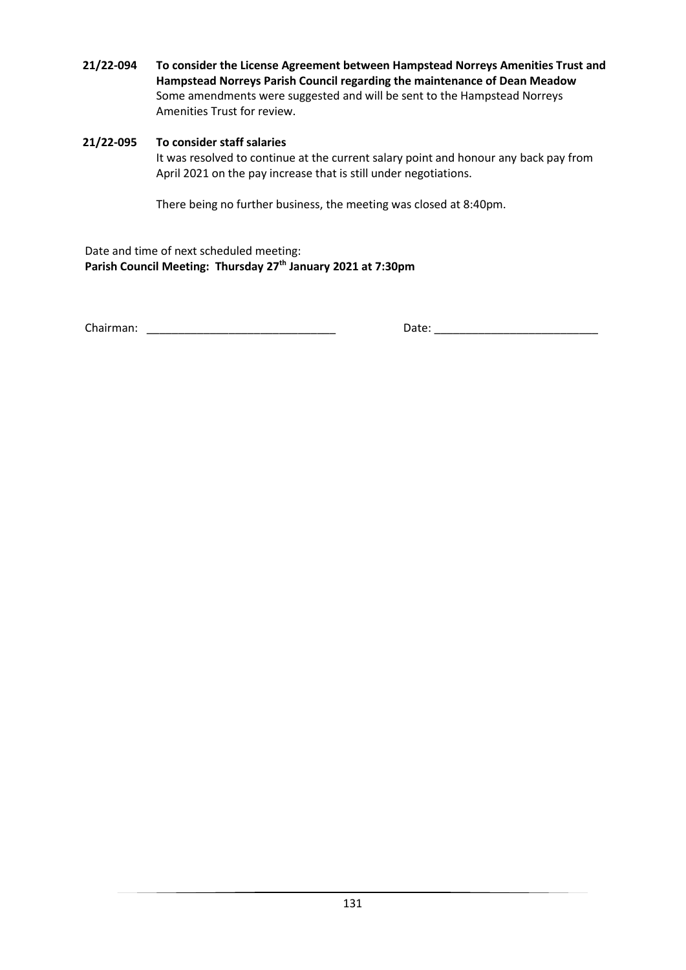**21/22-094 To consider the License Agreement between Hampstead Norreys Amenities Trust and Hampstead Norreys Parish Council regarding the maintenance of Dean Meadow** Some amendments were suggested and will be sent to the Hampstead Norreys Amenities Trust for review.

#### **21/22-095 To consider staff salaries**

It was resolved to continue at the current salary point and honour any back pay from April 2021 on the pay increase that is still under negotiations.

There being no further business, the meeting was closed at 8:40pm.

Date and time of next scheduled meeting: **Parish Council Meeting: Thursday 27th January 2021 at 7:30pm**

Chairman: \_\_\_\_\_\_\_\_\_\_\_\_\_\_\_\_\_\_\_\_\_\_\_\_\_\_\_\_\_\_ Date: \_\_\_\_\_\_\_\_\_\_\_\_\_\_\_\_\_\_\_\_\_\_\_\_\_\_